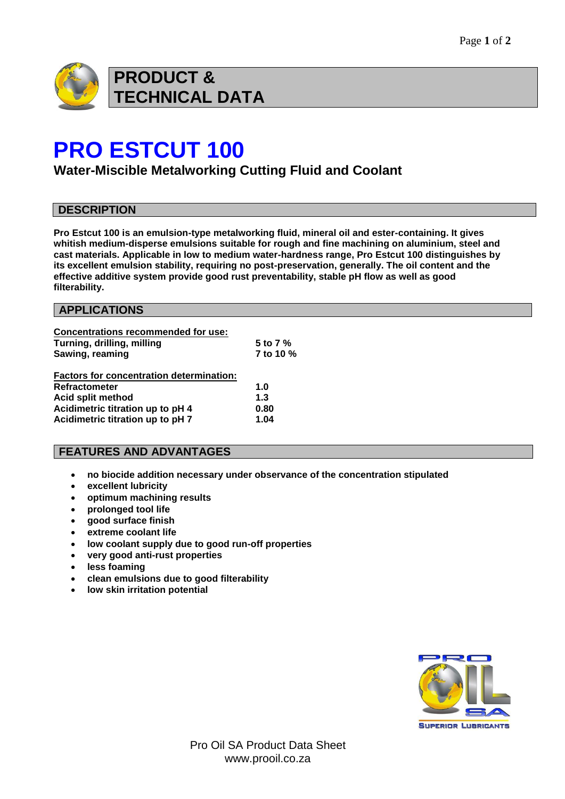

# **PRO ESTCUT 100**

**Water-Miscible Metalworking Cutting Fluid and Coolant**

### **DESCRIPTION**

**Pro Estcut 100 is an emulsion-type metalworking fluid, mineral oil and ester-containing. It gives whitish medium-disperse emulsions suitable for rough and fine machining on aluminium, steel and cast materials. Applicable in low to medium water-hardness range, Pro Estcut 100 distinguishes by its excellent emulsion stability, requiring no post-preservation, generally. The oil content and the effective additive system provide good rust preventability, stable pH flow as well as good filterability.** 

### **APPLICATIONS**

| <b>Concentrations recommended for use:</b>      |           |
|-------------------------------------------------|-----------|
| Turning, drilling, milling                      | 5 to 7 %  |
| Sawing, reaming                                 | 7 to 10 % |
| <b>Factors for concentration determination:</b> |           |
| <b>Refractometer</b>                            | 1.0       |
| <b>Acid split method</b>                        | 1.3       |
| Acidimetric titration up to pH 4                | 0.80      |
| Acidimetric titration up to pH 7                | 1.04      |

### **FEATURES AND ADVANTAGES**

- **no biocide addition necessary under observance of the concentration stipulated**
- **excellent lubricity**
- **optimum machining results**
- **prolonged tool life**
- **good surface finish**
- **extreme coolant life**
- **low coolant supply due to good run-off properties**
- **very good anti-rust properties**
- **less foaming**
- **clean emulsions due to good filterability**
- **low skin irritation potential**